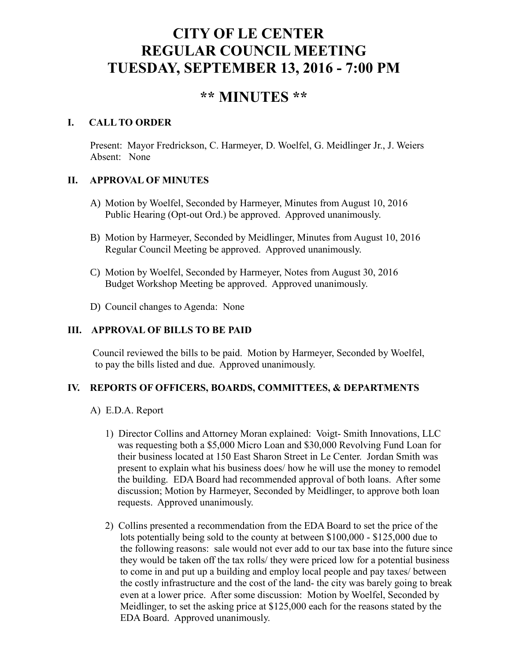# **CITY OF LE CENTER REGULAR COUNCIL MEETING TUESDAY, SEPTEMBER 13, 2016 - 7:00 PM**

# **\*\* MINUTES \*\***

# **I. CALL TO ORDER**

Present: Mayor Fredrickson, C. Harmeyer, D. Woelfel, G. Meidlinger Jr., J. Weiers Absent: None

# **II. APPROVAL OF MINUTES**

- A) Motion by Woelfel, Seconded by Harmeyer, Minutes from August 10, 2016 Public Hearing (Opt-out Ord.) be approved. Approved unanimously.
- B) Motion by Harmeyer, Seconded by Meidlinger, Minutes from August 10, 2016 Regular Council Meeting be approved. Approved unanimously.
- C) Motion by Woelfel, Seconded by Harmeyer, Notes from August 30, 2016 Budget Workshop Meeting be approved. Approved unanimously.
- D) Council changes to Agenda: None

# **III. APPROVAL OF BILLS TO BE PAID**

Council reviewed the bills to be paid. Motion by Harmeyer, Seconded by Woelfel, to pay the bills listed and due. Approved unanimously.

## **IV. REPORTS OF OFFICERS, BOARDS, COMMITTEES, & DEPARTMENTS**

- A) E.D.A. Report
	- 1) Director Collins and Attorney Moran explained: Voigt- Smith Innovations, LLC was requesting both a \$5,000 Micro Loan and \$30,000 Revolving Fund Loan for their business located at 150 East Sharon Street in Le Center. Jordan Smith was present to explain what his business does/ how he will use the money to remodel the building. EDA Board had recommended approval of both loans. After some discussion; Motion by Harmeyer, Seconded by Meidlinger, to approve both loan requests. Approved unanimously.
	- 2) Collins presented a recommendation from the EDA Board to set the price of the lots potentially being sold to the county at between \$100,000 - \$125,000 due to the following reasons: sale would not ever add to our tax base into the future since they would be taken off the tax rolls/ they were priced low for a potential business to come in and put up a building and employ local people and pay taxes/ between the costly infrastructure and the cost of the land- the city was barely going to break even at a lower price. After some discussion: Motion by Woelfel, Seconded by Meidlinger, to set the asking price at \$125,000 each for the reasons stated by the EDA Board. Approved unanimously.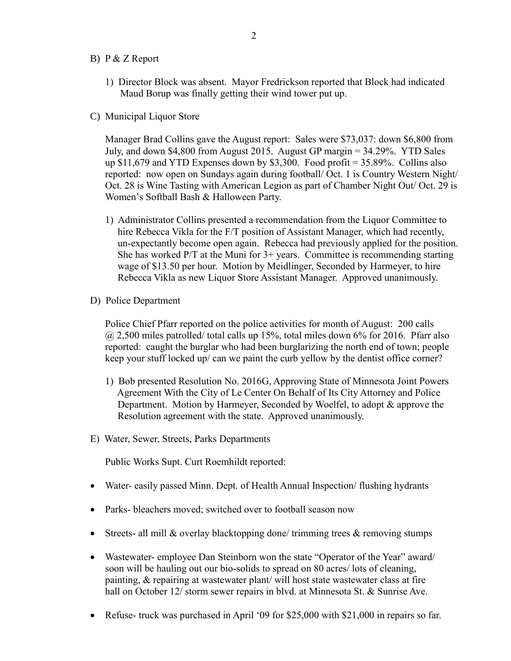- B) P & Z Report
	- 1) Director Block was absent. Mayor Fredrickson reported that Block had indicated Maud Borup was finally getting their wind tower put up.
- C) Municipal Liquor Store

Manager Brad Collins gave the August report: Sales were \$73,037: down \$6,800 from July, and down \$4,800 from August 2015. August GP margin = 34.29%. YTD Sales up  $$11,679$  and YTD Expenses down by  $$3,300$ . Food profit = 35.89%. Collins also reported: now open on Sundays again during football/ Oct. 1 is Country Western Night/ Oct. 28 is Wine Tasting with American Legion as part of Chamber Night Out/ Oct. 29 is Women's Softball Bash & Halloween Party.

- 1) Administrator Collins presented a recommendation from the Liquor Committee to hire Rebecca Vikla for the F/T position of Assistant Manager, which had recently, un-expectantly become open again. Rebecca had previously applied for the position. She has worked  $P/T$  at the Muni for  $3+$  years. Committee is recommending starting wage of \$13.50 per hour. Motion by Meidlinger, Seconded by Harmeyer, to hire Rebecca Vikla as new Liquor Store Assistant Manager. Approved unanimously.
- D) Police Department

Police Chief Pfarr reported on the police activities for month of August: 200 calls  $(a)$  2,500 miles patrolled/ total calls up 15%, total miles down 6% for 2016. Pfarr also reported: caught the burglar who had been burglarizing the north end of town; people keep your stuff locked up/ can we paint the curb yellow by the dentist office corner?

- 1) Bob presented Resolution No. 2016G, Approving State of Minnesota Joint Powers Agreement With the City of Le Center On Behalf of Its City Attorney and Police Department. Motion by Harmeyer, Seconded by Woelfel, to adopt & approve the Resolution agreement with the state. Approved unanimously.
- E) Water, Sewer, Streets, Parks Departments

Public Works Supt. Curt Roemhildt reported:

- Water-easily passed Minn. Dept. of Health Annual Inspection/ flushing hydrants
- Parks- bleachers moved: switched over to football season now
- Streets- all mill  $\&$  overlay blacktopping done/ trimming trees  $\&$  removing stumps
- Wastewater- employee Dan Steinborn won the state "Operator of the Year" award/ soon will be hauling out our bio-solids to spread on 80 acres/ lots of cleaning, painting, & repairing at wastewater plant/ will host state wastewater class at fire hall on October 12/ storm sewer repairs in blvd. at Minnesota St. & Sunrise Ave.
- Refuse- truck was purchased in April '09 for \$25,000 with \$21,000 in repairs so far.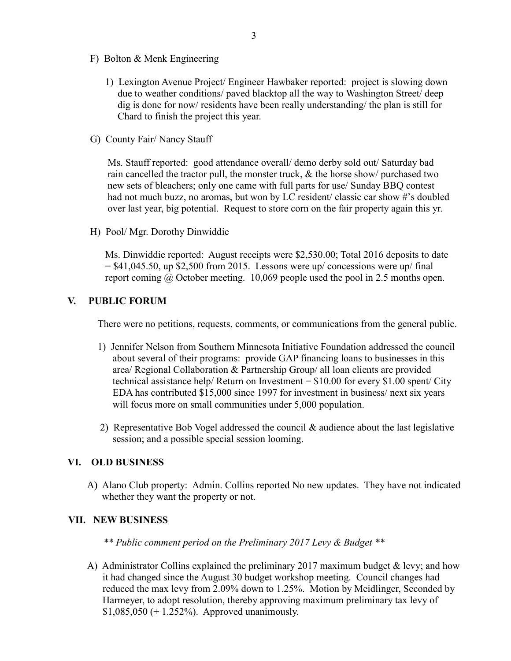- F) Bolton & Menk Engineering
	- 1) Lexington Avenue Project/ Engineer Hawbaker reported: project is slowing down due to weather conditions/ paved blacktop all the way to Washington Street/ deep dig is done for now/ residents have been really understanding/ the plan is still for Chard to finish the project this year.
- G) County Fair/ Nancy Stauff

 Ms. Stauff reported: good attendance overall/ demo derby sold out/ Saturday bad rain cancelled the tractor pull, the monster truck, & the horse show/ purchased two new sets of bleachers; only one came with full parts for use/ Sunday BBQ contest had not much buzz, no aromas, but won by LC resident/ classic car show #'s doubled over last year, big potential. Request to store corn on the fair property again this yr.

H) Pool/ Mgr. Dorothy Dinwiddie

 Ms. Dinwiddie reported: August receipts were \$2,530.00; Total 2016 deposits to date  $= $41,045.50$ , up \$2,500 from 2015. Lessons were up/ concessions were up/ final report coming @ October meeting. 10,069 people used the pool in 2.5 months open.

#### **V. PUBLIC FORUM**

There were no petitions, requests, comments, or communications from the general public.

- 1) Jennifer Nelson from Southern Minnesota Initiative Foundation addressed the council about several of their programs: provide GAP financing loans to businesses in this area/ Regional Collaboration & Partnership Group/ all loan clients are provided technical assistance help/ Return on Investment = \$10.00 for every \$1.00 spent/ City EDA has contributed \$15,000 since 1997 for investment in business/ next six years will focus more on small communities under 5,000 population.
- 2) Representative Bob Vogel addressed the council & audience about the last legislative session; and a possible special session looming.

#### **VI. OLD BUSINESS**

A) Alano Club property: Admin. Collins reported No new updates. They have not indicated whether they want the property or not.

#### **VII. NEW BUSINESS**

*\*\* Public comment period on the Preliminary 2017 Levy & Budget \*\**

 A) Administrator Collins explained the preliminary 2017 maximum budget & levy; and how it had changed since the August 30 budget workshop meeting. Council changes had reduced the max levy from 2.09% down to 1.25%. Motion by Meidlinger, Seconded by Harmeyer, to adopt resolution, thereby approving maximum preliminary tax levy of  $$1,085,050 (+ 1.252%)$ . Approved unanimously.